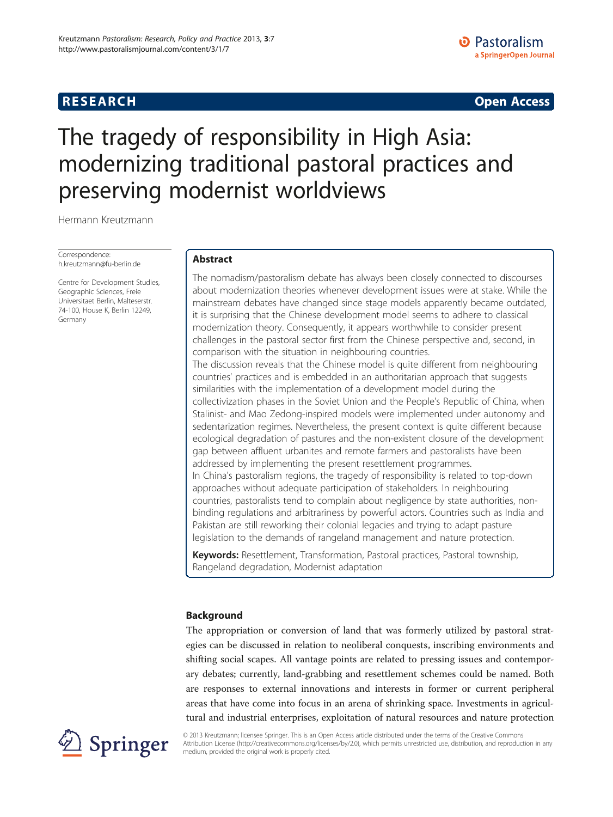# **RESEARCH RESEARCH CONSUMING ACCESS**

# The tragedy of responsibility in High Asia: modernizing traditional pastoral practices and preserving modernist worldviews

Hermann Kreutzmann

Correspondence: h.kreutzmann@fu-berlin.de

Centre for Development Studies, Geographic Sciences, Freie Universitaet Berlin, Malteserstr. 74-100, House K, Berlin 12249, Germany

# Abstract

The nomadism/pastoralism debate has always been closely connected to discourses about modernization theories whenever development issues were at stake. While the mainstream debates have changed since stage models apparently became outdated, it is surprising that the Chinese development model seems to adhere to classical modernization theory. Consequently, it appears worthwhile to consider present challenges in the pastoral sector first from the Chinese perspective and, second, in comparison with the situation in neighbouring countries. The discussion reveals that the Chinese model is quite different from neighbouring countries' practices and is embedded in an authoritarian approach that suggests similarities with the implementation of a development model during the collectivization phases in the Soviet Union and the People's Republic of China, when Stalinist- and Mao Zedong-inspired models were implemented under autonomy and sedentarization regimes. Nevertheless, the present context is quite different because ecological degradation of pastures and the non-existent closure of the development gap between affluent urbanites and remote farmers and pastoralists have been addressed by implementing the present resettlement programmes. In China's pastoralism regions, the tragedy of responsibility is related to top-down approaches without adequate participation of stakeholders. In neighbouring countries, pastoralists tend to complain about negligence by state authorities, nonbinding regulations and arbitrariness by powerful actors. Countries such as India and Pakistan are still reworking their colonial legacies and trying to adapt pasture legislation to the demands of rangeland management and nature protection.

Keywords: Resettlement, Transformation, Pastoral practices, Pastoral township, Rangeland degradation, Modernist adaptation

# Background

The appropriation or conversion of land that was formerly utilized by pastoral strategies can be discussed in relation to neoliberal conquests, inscribing environments and shifting social scapes. All vantage points are related to pressing issues and contemporary debates; currently, land-grabbing and resettlement schemes could be named. Both are responses to external innovations and interests in former or current peripheral areas that have come into focus in an arena of shrinking space. Investments in agricultural and industrial enterprises, exploitation of natural resources and nature protection



© 2013 Kreutzmann; licensee Springer. This is an Open Access article distributed under the terms of the Creative Commons Attribution License [\(http://creativecommons.org/licenses/by/2.0\)](http://creativecommons.org/licenses/by/2.0), which permits unrestricted use, distribution, and reproduction in any medium, provided the original work is properly cited.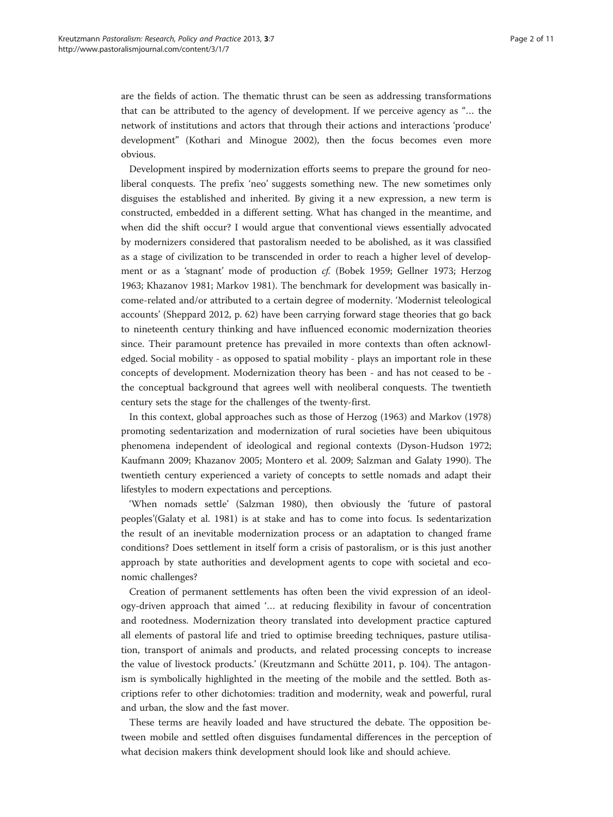are the fields of action. The thematic thrust can be seen as addressing transformations that can be attributed to the agency of development. If we perceive agency as "… the network of institutions and actors that through their actions and interactions 'produce' development" (Kothari and Minogue [2002](#page-9-0)), then the focus becomes even more obvious.

Development inspired by modernization efforts seems to prepare the ground for neoliberal conquests. The prefix 'neo' suggests something new. The new sometimes only disguises the established and inherited. By giving it a new expression, a new term is constructed, embedded in a different setting. What has changed in the meantime, and when did the shift occur? I would argue that conventional views essentially advocated by modernizers considered that pastoralism needed to be abolished, as it was classified as a stage of civilization to be transcended in order to reach a higher level of development or as a 'stagnant' mode of production cf. (Bobek [1959](#page-8-0); Gellner [1973;](#page-9-0) Herzog [1963](#page-9-0); Khazanov [1981](#page-9-0); Markov [1981](#page-9-0)). The benchmark for development was basically income-related and/or attributed to a certain degree of modernity. 'Modernist teleological accounts' (Sheppard [2012,](#page-10-0) p. 62) have been carrying forward stage theories that go back to nineteenth century thinking and have influenced economic modernization theories since. Their paramount pretence has prevailed in more contexts than often acknowledged. Social mobility - as opposed to spatial mobility - plays an important role in these concepts of development. Modernization theory has been - and has not ceased to be the conceptual background that agrees well with neoliberal conquests. The twentieth century sets the stage for the challenges of the twenty-first.

In this context, global approaches such as those of Herzog ([1963](#page-9-0)) and Markov ([1978](#page-9-0)) promoting sedentarization and modernization of rural societies have been ubiquitous phenomena independent of ideological and regional contexts (Dyson-Hudson [1972](#page-8-0); Kaufmann [2009](#page-9-0); Khazanov [2005](#page-9-0); Montero et al. [2009](#page-10-0); Salzman and Galaty [1990\)](#page-10-0). The twentieth century experienced a variety of concepts to settle nomads and adapt their lifestyles to modern expectations and perceptions.

'When nomads settle' (Salzman [1980](#page-10-0)), then obviously the 'future of pastoral peoples'(Galaty et al. [1981\)](#page-9-0) is at stake and has to come into focus. Is sedentarization the result of an inevitable modernization process or an adaptation to changed frame conditions? Does settlement in itself form a crisis of pastoralism, or is this just another approach by state authorities and development agents to cope with societal and economic challenges?

Creation of permanent settlements has often been the vivid expression of an ideology-driven approach that aimed '… at reducing flexibility in favour of concentration and rootedness. Modernization theory translated into development practice captured all elements of pastoral life and tried to optimise breeding techniques, pasture utilisation, transport of animals and products, and related processing concepts to increase the value of livestock products.' (Kreutzmann and Schütte [2011](#page-9-0), p. 104). The antagonism is symbolically highlighted in the meeting of the mobile and the settled. Both ascriptions refer to other dichotomies: tradition and modernity, weak and powerful, rural and urban, the slow and the fast mover.

These terms are heavily loaded and have structured the debate. The opposition between mobile and settled often disguises fundamental differences in the perception of what decision makers think development should look like and should achieve.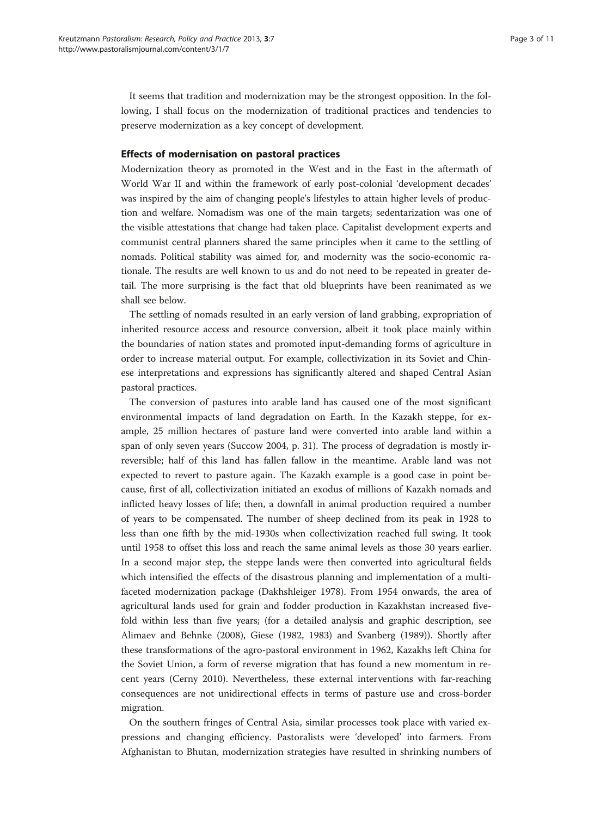It seems that tradition and modernization may be the strongest opposition. In the following, I shall focus on the modernization of traditional practices and tendencies to preserve modernization as a key concept of development.

#### Effects of modernisation on pastoral practices

Modernization theory as promoted in the West and in the East in the aftermath of World War II and within the framework of early post-colonial 'development decades' was inspired by the aim of changing people's lifestyles to attain higher levels of production and welfare. Nomadism was one of the main targets; sedentarization was one of the visible attestations that change had taken place. Capitalist development experts and communist central planners shared the same principles when it came to the settling of nomads. Political stability was aimed for, and modernity was the socio-economic rationale. The results are well known to us and do not need to be repeated in greater detail. The more surprising is the fact that old blueprints have been reanimated as we shall see below.

The settling of nomads resulted in an early version of land grabbing, expropriation of inherited resource access and resource conversion, albeit it took place mainly within the boundaries of nation states and promoted input-demanding forms of agriculture in order to increase material output. For example, collectivization in its Soviet and Chinese interpretations and expressions has significantly altered and shaped Central Asian pastoral practices.

The conversion of pastures into arable land has caused one of the most significant environmental impacts of land degradation on Earth. In the Kazakh steppe, for example, 25 million hectares of pasture land were converted into arable land within a span of only seven years (Succow [2004](#page-10-0), p. 31). The process of degradation is mostly irreversible; half of this land has fallen fallow in the meantime. Arable land was not expected to revert to pasture again. The Kazakh example is a good case in point because, first of all, collectivization initiated an exodus of millions of Kazakh nomads and inflicted heavy losses of life; then, a downfall in animal production required a number of years to be compensated. The number of sheep declined from its peak in 1928 to less than one fifth by the mid-1930s when collectivization reached full swing. It took until 1958 to offset this loss and reach the same animal levels as those 30 years earlier. In a second major step, the steppe lands were then converted into agricultural fields which intensified the effects of the disastrous planning and implementation of a multifaceted modernization package (Dakhshleiger [1978](#page-8-0)). From 1954 onwards, the area of agricultural lands used for grain and fodder production in Kazakhstan increased fivefold within less than five years; (for a detailed analysis and graphic description, see Alimaev and Behnke ([2008](#page-8-0)), Giese ([1982](#page-9-0), [1983\)](#page-9-0) and Svanberg [\(1989\)](#page-10-0)). Shortly after these transformations of the agro-pastoral environment in 1962, Kazakhs left China for the Soviet Union, a form of reverse migration that has found a new momentum in recent years (Cerny [2010](#page-8-0)). Nevertheless, these external interventions with far-reaching consequences are not unidirectional effects in terms of pasture use and cross-border migration.

On the southern fringes of Central Asia, similar processes took place with varied expressions and changing efficiency. Pastoralists were 'developed' into farmers. From Afghanistan to Bhutan, modernization strategies have resulted in shrinking numbers of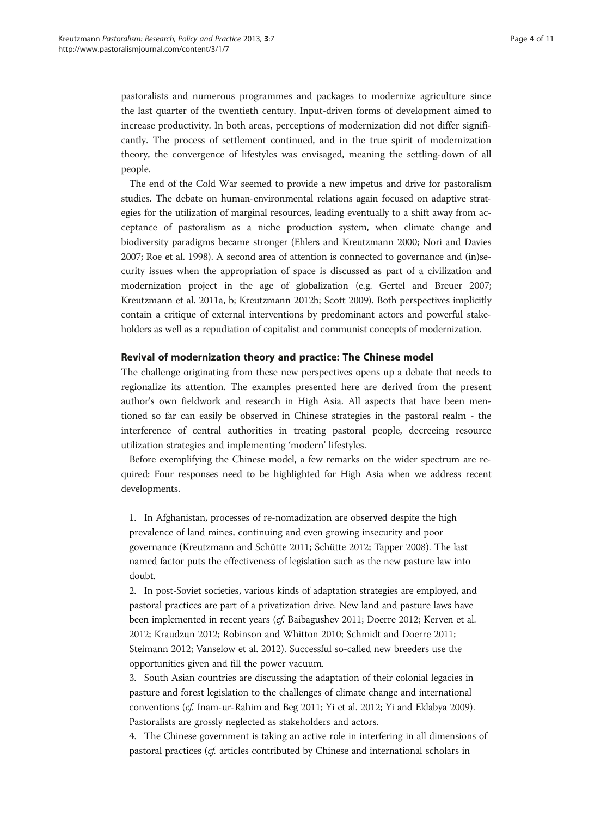pastoralists and numerous programmes and packages to modernize agriculture since the last quarter of the twentieth century. Input-driven forms of development aimed to increase productivity. In both areas, perceptions of modernization did not differ significantly. The process of settlement continued, and in the true spirit of modernization theory, the convergence of lifestyles was envisaged, meaning the settling-down of all people.

The end of the Cold War seemed to provide a new impetus and drive for pastoralism studies. The debate on human-environmental relations again focused on adaptive strategies for the utilization of marginal resources, leading eventually to a shift away from acceptance of pastoralism as a niche production system, when climate change and biodiversity paradigms became stronger (Ehlers and Kreutzmann [2000](#page-8-0); Nori and Davies [2007;](#page-10-0) Roe et al. [1998](#page-10-0)). A second area of attention is connected to governance and (in)security issues when the appropriation of space is discussed as part of a civilization and modernization project in the age of globalization (e.g. Gertel and Breuer [2007](#page-9-0); Kreutzmann et al. [2011a](#page-9-0), b; Kreutzmann [2012b;](#page-9-0) Scott [2009](#page-10-0)). Both perspectives implicitly contain a critique of external interventions by predominant actors and powerful stakeholders as well as a repudiation of capitalist and communist concepts of modernization.

## Revival of modernization theory and practice: The Chinese model

The challenge originating from these new perspectives opens up a debate that needs to regionalize its attention. The examples presented here are derived from the present author's own fieldwork and research in High Asia. All aspects that have been mentioned so far can easily be observed in Chinese strategies in the pastoral realm - the interference of central authorities in treating pastoral people, decreeing resource utilization strategies and implementing 'modern' lifestyles.

Before exemplifying the Chinese model, a few remarks on the wider spectrum are required: Four responses need to be highlighted for High Asia when we address recent developments.

1. In Afghanistan, processes of re-nomadization are observed despite the high prevalence of land mines, continuing and even growing insecurity and poor governance (Kreutzmann and Schütte [2011;](#page-9-0) Schütte [2012;](#page-10-0) Tapper [2008\)](#page-10-0). The last named factor puts the effectiveness of legislation such as the new pasture law into doubt.

2. In post-Soviet societies, various kinds of adaptation strategies are employed, and pastoral practices are part of a privatization drive. New land and pasture laws have been implemented in recent years (cf. Baibagushev [2011;](#page-8-0) Doerre [2012;](#page-8-0) Kerven et al. [2012;](#page-9-0) Kraudzun [2012;](#page-9-0) Robinson and Whitton [2010;](#page-10-0) Schmidt and Doerre [2011;](#page-10-0) Steimann [2012;](#page-10-0) Vanselow et al. [2012](#page-10-0)). Successful so-called new breeders use the opportunities given and fill the power vacuum.

3. South Asian countries are discussing the adaptation of their colonial legacies in pasture and forest legislation to the challenges of climate change and international conventions (cf. Inam-ur-Rahim and Beg [2011;](#page-9-0) Yi et al. [2012;](#page-10-0) Yi and Eklabya [2009\)](#page-10-0). Pastoralists are grossly neglected as stakeholders and actors.

4. The Chinese government is taking an active role in interfering in all dimensions of pastoral practices (cf. articles contributed by Chinese and international scholars in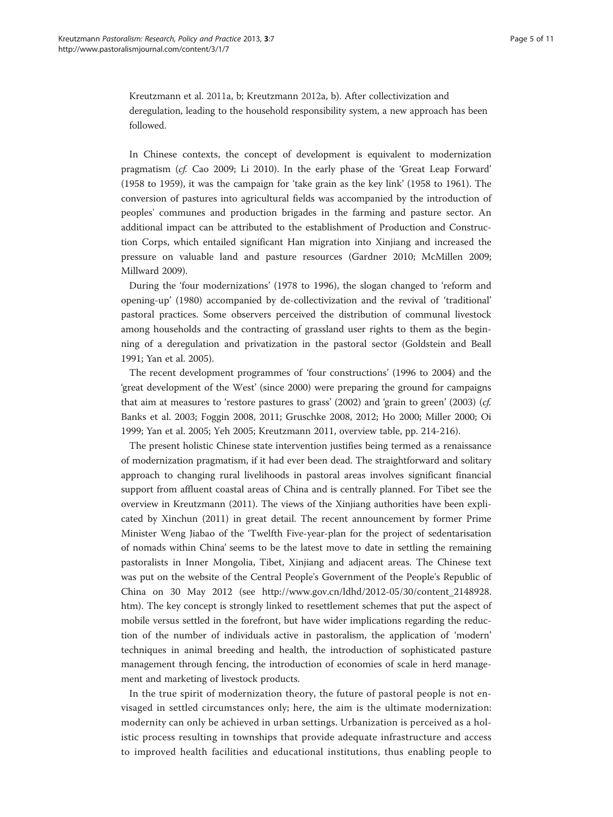Kreutzmann et al. [2011](#page-9-0)a, b; Kreutzmann [2012](#page-9-0)a, b). After collectivization and deregulation, leading to the household responsibility system, a new approach has been followed.

In Chinese contexts, the concept of development is equivalent to modernization pragmatism (cf. Cao [2009](#page-8-0); Li [2010](#page-9-0)). In the early phase of the 'Great Leap Forward' (1958 to 1959), it was the campaign for 'take grain as the key link' (1958 to 1961). The conversion of pastures into agricultural fields was accompanied by the introduction of peoples' communes and production brigades in the farming and pasture sector. An additional impact can be attributed to the establishment of Production and Construction Corps, which entailed significant Han migration into Xinjiang and increased the pressure on valuable land and pasture resources (Gardner [2010;](#page-9-0) McMillen [2009](#page-9-0); Millward [2009](#page-9-0)).

During the 'four modernizations' (1978 to 1996), the slogan changed to 'reform and opening-up' (1980) accompanied by de-collectivization and the revival of 'traditional' pastoral practices. Some observers perceived the distribution of communal livestock among households and the contracting of grassland user rights to them as the beginning of a deregulation and privatization in the pastoral sector (Goldstein and Beall [1991](#page-9-0); Yan et al. [2005\)](#page-10-0).

The recent development programmes of 'four constructions' (1996 to 2004) and the 'great development of the West' (since 2000) were preparing the ground for campaigns that aim at measures to 'restore pastures to grass'  $(2002)$  and 'grain to green'  $(2003)$  (*cf.*) Banks et al. [2003;](#page-8-0) Foggin [2008](#page-8-0), [2011;](#page-8-0) Gruschke [2008](#page-9-0), [2012;](#page-9-0) Ho [2000;](#page-9-0) Miller [2000;](#page-9-0) Oi [1999](#page-10-0); Yan et al. [2005;](#page-10-0) Yeh [2005](#page-10-0); Kreutzmann [2011,](#page-9-0) overview table, pp. 214-216).

The present holistic Chinese state intervention justifies being termed as a renaissance of modernization pragmatism, if it had ever been dead. The straightforward and solitary approach to changing rural livelihoods in pastoral areas involves significant financial support from affluent coastal areas of China and is centrally planned. For Tibet see the overview in Kreutzmann ([2011](#page-9-0)). The views of the Xinjiang authorities have been explicated by Xinchun ([2011](#page-10-0)) in great detail. The recent announcement by former Prime Minister Weng Jiabao of the 'Twelfth Five-year-plan for the project of sedentarisation of nomads within China' seems to be the latest move to date in settling the remaining pastoralists in Inner Mongolia, Tibet, Xinjiang and adjacent areas. The Chinese text was put on the website of the Central People's Government of the People's Republic of China on 30 May 2012 (see http://www.gov.cn/ldhd/2012-05/30/content\_2148928. htm). The key concept is strongly linked to resettlement schemes that put the aspect of mobile versus settled in the forefront, but have wider implications regarding the reduction of the number of individuals active in pastoralism, the application of 'modern' techniques in animal breeding and health, the introduction of sophisticated pasture management through fencing, the introduction of economies of scale in herd management and marketing of livestock products.

In the true spirit of modernization theory, the future of pastoral people is not envisaged in settled circumstances only; here, the aim is the ultimate modernization: modernity can only be achieved in urban settings. Urbanization is perceived as a holistic process resulting in townships that provide adequate infrastructure and access to improved health facilities and educational institutions, thus enabling people to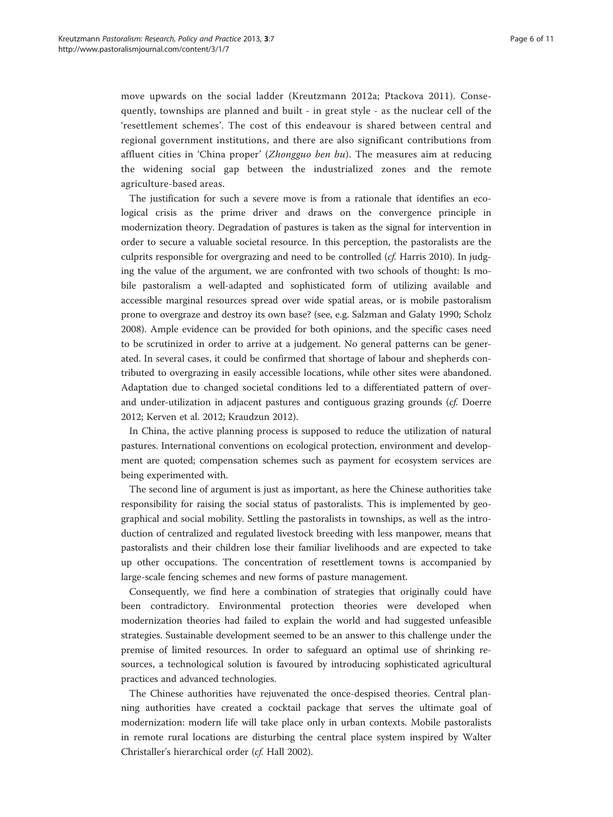move upwards on the social ladder (Kreutzmann [2012a;](#page-9-0) Ptackova [2011](#page-10-0)). Consequently, townships are planned and built - in great style - as the nuclear cell of the 'resettlement schemes'. The cost of this endeavour is shared between central and regional government institutions, and there are also significant contributions from affluent cities in 'China proper' (Zhongguo ben bu). The measures aim at reducing the widening social gap between the industrialized zones and the remote agriculture-based areas.

The justification for such a severe move is from a rationale that identifies an ecological crisis as the prime driver and draws on the convergence principle in modernization theory. Degradation of pastures is taken as the signal for intervention in order to secure a valuable societal resource. In this perception, the pastoralists are the culprits responsible for overgrazing and need to be controlled (cf. Harris [2010\)](#page-9-0). In judging the value of the argument, we are confronted with two schools of thought: Is mobile pastoralism a well-adapted and sophisticated form of utilizing available and accessible marginal resources spread over wide spatial areas, or is mobile pastoralism prone to overgraze and destroy its own base? (see, e.g. Salzman and Galaty [1990;](#page-10-0) Scholz [2008](#page-10-0)). Ample evidence can be provided for both opinions, and the specific cases need to be scrutinized in order to arrive at a judgement. No general patterns can be generated. In several cases, it could be confirmed that shortage of labour and shepherds contributed to overgrazing in easily accessible locations, while other sites were abandoned. Adaptation due to changed societal conditions led to a differentiated pattern of overand under-utilization in adjacent pastures and contiguous grazing grounds (cf. Doerre [2012](#page-8-0); Kerven et al. [2012;](#page-9-0) Kraudzun [2012\)](#page-9-0).

In China, the active planning process is supposed to reduce the utilization of natural pastures. International conventions on ecological protection, environment and development are quoted; compensation schemes such as payment for ecosystem services are being experimented with.

The second line of argument is just as important, as here the Chinese authorities take responsibility for raising the social status of pastoralists. This is implemented by geographical and social mobility. Settling the pastoralists in townships, as well as the introduction of centralized and regulated livestock breeding with less manpower, means that pastoralists and their children lose their familiar livelihoods and are expected to take up other occupations. The concentration of resettlement towns is accompanied by large-scale fencing schemes and new forms of pasture management.

Consequently, we find here a combination of strategies that originally could have been contradictory. Environmental protection theories were developed when modernization theories had failed to explain the world and had suggested unfeasible strategies. Sustainable development seemed to be an answer to this challenge under the premise of limited resources. In order to safeguard an optimal use of shrinking resources, a technological solution is favoured by introducing sophisticated agricultural practices and advanced technologies.

The Chinese authorities have rejuvenated the once-despised theories. Central planning authorities have created a cocktail package that serves the ultimate goal of modernization: modern life will take place only in urban contexts. Mobile pastoralists in remote rural locations are disturbing the central place system inspired by Walter Christaller's hierarchical order (cf. Hall [2002\)](#page-9-0).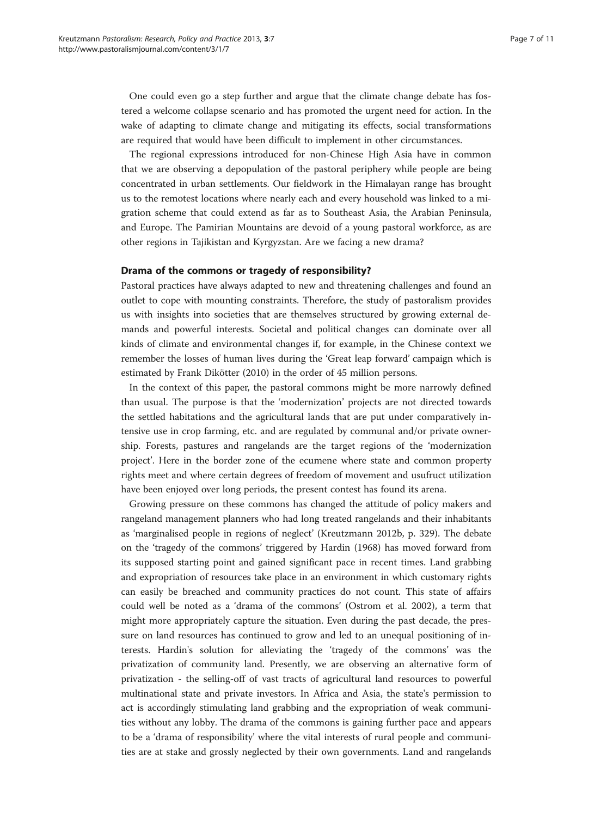One could even go a step further and argue that the climate change debate has fostered a welcome collapse scenario and has promoted the urgent need for action. In the wake of adapting to climate change and mitigating its effects, social transformations are required that would have been difficult to implement in other circumstances.

The regional expressions introduced for non-Chinese High Asia have in common that we are observing a depopulation of the pastoral periphery while people are being concentrated in urban settlements. Our fieldwork in the Himalayan range has brought us to the remotest locations where nearly each and every household was linked to a migration scheme that could extend as far as to Southeast Asia, the Arabian Peninsula, and Europe. The Pamirian Mountains are devoid of a young pastoral workforce, as are other regions in Tajikistan and Kyrgyzstan. Are we facing a new drama?

## Drama of the commons or tragedy of responsibility?

Pastoral practices have always adapted to new and threatening challenges and found an outlet to cope with mounting constraints. Therefore, the study of pastoralism provides us with insights into societies that are themselves structured by growing external demands and powerful interests. Societal and political changes can dominate over all kinds of climate and environmental changes if, for example, in the Chinese context we remember the losses of human lives during the 'Great leap forward' campaign which is estimated by Frank Dikötter ([2010\)](#page-8-0) in the order of 45 million persons.

In the context of this paper, the pastoral commons might be more narrowly defined than usual. The purpose is that the 'modernization' projects are not directed towards the settled habitations and the agricultural lands that are put under comparatively intensive use in crop farming, etc. and are regulated by communal and/or private ownership. Forests, pastures and rangelands are the target regions of the 'modernization project'. Here in the border zone of the ecumene where state and common property rights meet and where certain degrees of freedom of movement and usufruct utilization have been enjoyed over long periods, the present contest has found its arena.

Growing pressure on these commons has changed the attitude of policy makers and rangeland management planners who had long treated rangelands and their inhabitants as 'marginalised people in regions of neglect' (Kreutzmann [2012b,](#page-9-0) p. 329). The debate on the 'tragedy of the commons' triggered by Hardin [\(1968](#page-9-0)) has moved forward from its supposed starting point and gained significant pace in recent times. Land grabbing and expropriation of resources take place in an environment in which customary rights can easily be breached and community practices do not count. This state of affairs could well be noted as a 'drama of the commons' (Ostrom et al. [2002\)](#page-10-0), a term that might more appropriately capture the situation. Even during the past decade, the pressure on land resources has continued to grow and led to an unequal positioning of interests. Hardin's solution for alleviating the 'tragedy of the commons' was the privatization of community land. Presently, we are observing an alternative form of privatization - the selling-off of vast tracts of agricultural land resources to powerful multinational state and private investors. In Africa and Asia, the state's permission to act is accordingly stimulating land grabbing and the expropriation of weak communities without any lobby. The drama of the commons is gaining further pace and appears to be a 'drama of responsibility' where the vital interests of rural people and communities are at stake and grossly neglected by their own governments. Land and rangelands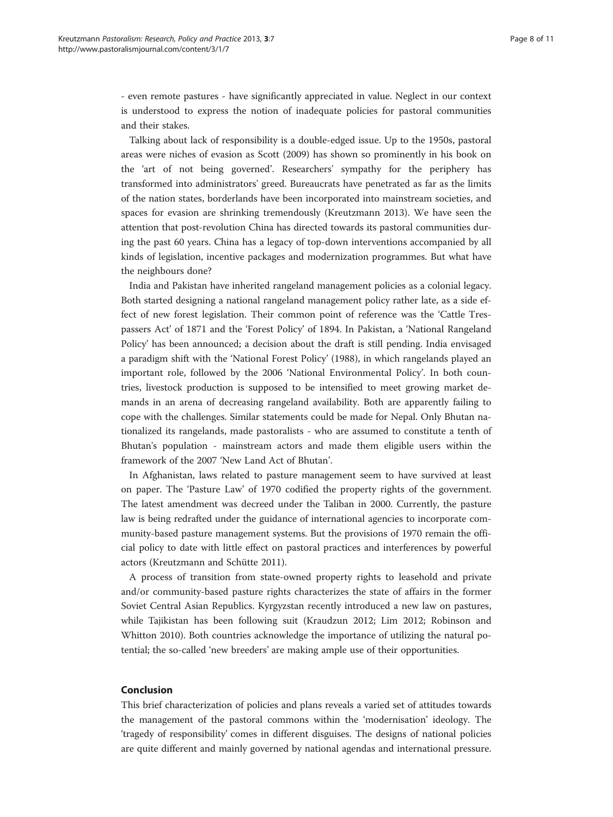- even remote pastures - have significantly appreciated in value. Neglect in our context is understood to express the notion of inadequate policies for pastoral communities and their stakes.

Talking about lack of responsibility is a double-edged issue. Up to the 1950s, pastoral areas were niches of evasion as Scott [\(2009\)](#page-10-0) has shown so prominently in his book on the 'art of not being governed'. Researchers' sympathy for the periphery has transformed into administrators' greed. Bureaucrats have penetrated as far as the limits of the nation states, borderlands have been incorporated into mainstream societies, and spaces for evasion are shrinking tremendously (Kreutzmann [2013\)](#page-9-0). We have seen the attention that post-revolution China has directed towards its pastoral communities during the past 60 years. China has a legacy of top-down interventions accompanied by all kinds of legislation, incentive packages and modernization programmes. But what have the neighbours done?

India and Pakistan have inherited rangeland management policies as a colonial legacy. Both started designing a national rangeland management policy rather late, as a side effect of new forest legislation. Their common point of reference was the 'Cattle Trespassers Act' of 1871 and the 'Forest Policy' of 1894. In Pakistan, a 'National Rangeland Policy' has been announced; a decision about the draft is still pending. India envisaged a paradigm shift with the 'National Forest Policy' (1988), in which rangelands played an important role, followed by the 2006 'National Environmental Policy'. In both countries, livestock production is supposed to be intensified to meet growing market demands in an arena of decreasing rangeland availability. Both are apparently failing to cope with the challenges. Similar statements could be made for Nepal. Only Bhutan nationalized its rangelands, made pastoralists - who are assumed to constitute a tenth of Bhutan's population - mainstream actors and made them eligible users within the framework of the 2007 'New Land Act of Bhutan'.

In Afghanistan, laws related to pasture management seem to have survived at least on paper. The 'Pasture Law' of 1970 codified the property rights of the government. The latest amendment was decreed under the Taliban in 2000. Currently, the pasture law is being redrafted under the guidance of international agencies to incorporate community-based pasture management systems. But the provisions of 1970 remain the official policy to date with little effect on pastoral practices and interferences by powerful actors (Kreutzmann and Schütte [2011](#page-9-0)).

A process of transition from state-owned property rights to leasehold and private and/or community-based pasture rights characterizes the state of affairs in the former Soviet Central Asian Republics. Kyrgyzstan recently introduced a new law on pastures, while Tajikistan has been following suit (Kraudzun [2012;](#page-9-0) Lim [2012](#page-9-0); Robinson and Whitton [2010](#page-10-0)). Both countries acknowledge the importance of utilizing the natural potential; the so-called 'new breeders' are making ample use of their opportunities.

# Conclusion

This brief characterization of policies and plans reveals a varied set of attitudes towards the management of the pastoral commons within the 'modernisation' ideology. The 'tragedy of responsibility' comes in different disguises. The designs of national policies are quite different and mainly governed by national agendas and international pressure.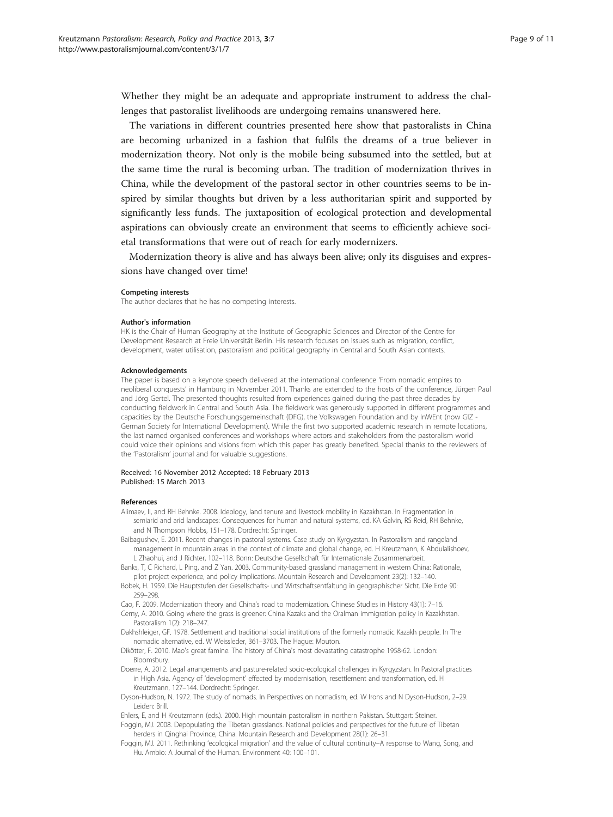<span id="page-8-0"></span>Whether they might be an adequate and appropriate instrument to address the challenges that pastoralist livelihoods are undergoing remains unanswered here.

The variations in different countries presented here show that pastoralists in China are becoming urbanized in a fashion that fulfils the dreams of a true believer in modernization theory. Not only is the mobile being subsumed into the settled, but at the same time the rural is becoming urban. The tradition of modernization thrives in China, while the development of the pastoral sector in other countries seems to be inspired by similar thoughts but driven by a less authoritarian spirit and supported by significantly less funds. The juxtaposition of ecological protection and developmental aspirations can obviously create an environment that seems to efficiently achieve societal transformations that were out of reach for early modernizers.

Modernization theory is alive and has always been alive; only its disguises and expressions have changed over time!

#### Competing interests

The author declares that he has no competing interests.

#### Author's information

HK is the Chair of Human Geography at the Institute of Geographic Sciences and Director of the Centre for Development Research at Freie Universität Berlin. His research focuses on issues such as migration, conflict, development, water utilisation, pastoralism and political geography in Central and South Asian contexts.

#### Acknowledgements

The paper is based on a keynote speech delivered at the international conference 'From nomadic empires to neoliberal conquests' in Hamburg in November 2011. Thanks are extended to the hosts of the conference, Jürgen Paul and Jörg Gertel. The presented thoughts resulted from experiences gained during the past three decades by conducting fieldwork in Central and South Asia. The fieldwork was generously supported in different programmes and capacities by the Deutsche Forschungsgemeinschaft (DFG), the Volkswagen Foundation and by InWEnt (now GIZ - German Society for International Development). While the first two supported academic research in remote locations, the last named organised conferences and workshops where actors and stakeholders from the pastoralism world could voice their opinions and visions from which this paper has greatly benefited. Special thanks to the reviewers of the 'Pastoralism' journal and for valuable suggestions.

#### Received: 16 November 2012 Accepted: 18 February 2013 Published: 15 March 2013

#### References

- Alimaev, II, and RH Behnke. 2008. Ideology, land tenure and livestock mobility in Kazakhstan. In Fragmentation in semiarid and arid landscapes: Consequences for human and natural systems, ed. KA Galvin, RS Reid, RH Behnke, and N Thompson Hobbs, 151–178. Dordrecht: Springer.
- Baibagushev, E. 2011. Recent changes in pastoral systems. Case study on Kyrgyzstan. In Pastoralism and rangeland management in mountain areas in the context of climate and global change, ed. H Kreutzmann, K Abdulalishoev, L Zhaohui, and J Richter, 102–118. Bonn: Deutsche Gesellschaft für Internationale Zusammenarbeit.
- Banks, T, C Richard, L Ping, and Z Yan. 2003. Community-based grassland management in western China: Rationale, pilot project experience, and policy implications. Mountain Research and Development 23(2): 132–140.
- Bobek, H. 1959. Die Hauptstufen der Gesellschafts- und Wirtschaftsentfaltung in geographischer Sicht. Die Erde 90: 259–298.
- Cao, F. 2009. Modernization theory and China's road to modernization. Chinese Studies in History 43(1): 7–16.
- Cerny, A. 2010. Going where the grass is greener: China Kazaks and the Oralman immigration policy in Kazakhstan. Pastoralism 1(2): 218–247.
- Dakhshleiger, GF. 1978. Settlement and traditional social institutions of the formerly nomadic Kazakh people. In The nomadic alternative, ed. W Weissleder, 361–3703. The Hague: Mouton.
- Dikötter, F. 2010. Mao's great famine. The history of China's most devastating catastrophe 1958-62. London: Bloomsbury.
- Doerre, A. 2012. Legal arrangements and pasture-related socio-ecological challenges in Kyrgyzstan. In Pastoral practices in High Asia. Agency of 'development' effected by modernisation, resettlement and transformation, ed. H Kreutzmann, 127–144. Dordrecht: Springer.
- Dyson-Hudson, N. 1972. The study of nomads. In Perspectives on nomadism, ed. W Irons and N Dyson-Hudson, 2–29. Leiden: Brill.
- Ehlers, E, and H Kreutzmann (eds.). 2000. High mountain pastoralism in northern Pakistan. Stuttgart: Steiner.
- Foggin, MJ. 2008. Depopulating the Tibetan grasslands. National policies and perspectives for the future of Tibetan herders in Qinghai Province, China. Mountain Research and Development 28(1): 26–31.
- Foggin, MJ. 2011. Rethinking 'ecological migration' and the value of cultural continuity–A response to Wang, Song, and Hu. Ambio: A Journal of the Human. Environment 40: 100–101.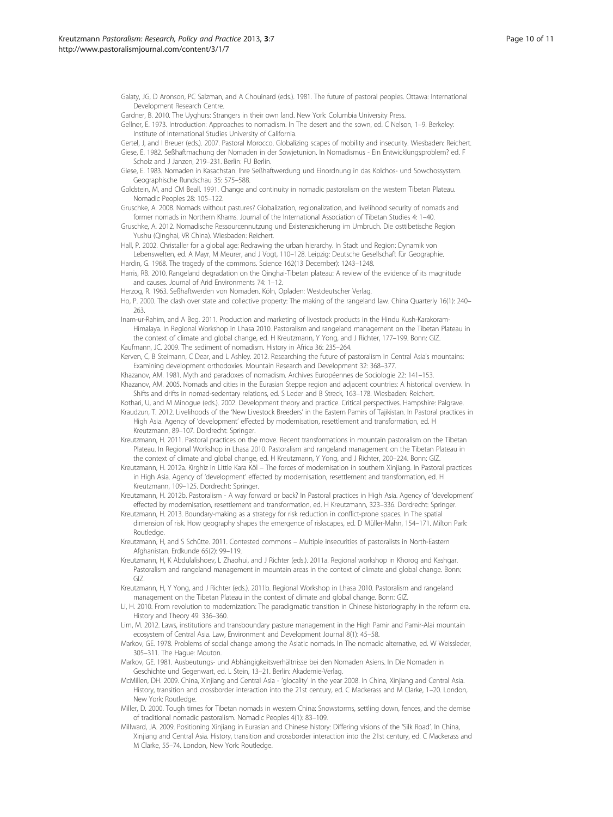- <span id="page-9-0"></span>Galaty, JG, D Aronson, PC Salzman, and A Chouinard (eds.). 1981. The future of pastoral peoples. Ottawa: International Development Research Centre.
- Gardner, B. 2010. The Uyghurs: Strangers in their own land. New York: Columbia University Press.

Gellner, E. 1973. Introduction: Approaches to nomadism. In The desert and the sown, ed. C Nelson, 1–9. Berkeley: Institute of International Studies University of California.

Gertel, J, and I Breuer (eds.). 2007. Pastoral Morocco. Globalizing scapes of mobility and insecurity. Wiesbaden: Reichert. Giese, E. 1982. Seßhaftmachung der Nomaden in der Sowjetunion. In Nomadismus - Ein Entwicklungsproblem? ed. F Scholz and J Janzen, 219–231. Berlin: FU Berlin.

- Giese, E. 1983. Nomaden in Kasachstan. Ihre Seßhaftwerdung und Einordnung in das Kolchos- und Sowchossystem. Geographische Rundschau 35: 575–588.
- Goldstein, M, and CM Beall. 1991. Change and continuity in nomadic pastoralism on the western Tibetan Plateau. Nomadic Peoples 28: 105–122.
- Gruschke, A. 2008. Nomads without pastures? Globalization, regionalization, and livelihood security of nomads and former nomads in Northern Khams. Journal of the International Association of Tibetan Studies 4: 1–40.
- Gruschke, A. 2012. Nomadische Ressourcennutzung und Existenzsicherung im Umbruch. Die osttibetische Region Yushu (Qinghai, VR China). Wiesbaden: Reichert.

Hall, P. 2002. Christaller for a global age: Redrawing the urban hierarchy. In Stadt und Region: Dynamik von Lebenswelten, ed. A Mayr, M Meurer, and J Vogt, 110–128. Leipzig: Deutsche Gesellschaft für Geographie. Hardin, G. 1968. The tragedy of the commons. Science 162(13 December): 1243–1248.

- Harris, RB. 2010. Rangeland degradation on the Qinghai-Tibetan plateau: A review of the evidence of its magnitude and causes. Journal of Arid Environments 74: 1–12.
- Herzog, R. 1963. Seßhaftwerden von Nomaden. Köln, Opladen: Westdeutscher Verlag.
- Ho, P. 2000. The clash over state and collective property: The making of the rangeland law. China Quarterly 16(1): 240– 263.

Inam-ur-Rahim, and A Beg. 2011. Production and marketing of livestock products in the Hindu Kush-Karakoram-Himalaya. In Regional Workshop in Lhasa 2010. Pastoralism and rangeland management on the Tibetan Plateau in the context of climate and global change, ed. H Kreutzmann, Y Yong, and J Richter, 177–199. Bonn: GIZ.

Kaufmann, JC. 2009. The sediment of nomadism. History in Africa 36: 235–264.

Kerven, C, B Steimann, C Dear, and L Ashley. 2012. Researching the future of pastoralism in Central Asia's mountains: Examining development orthodoxies. Mountain Research and Development 32: 368–377.

Khazanov, AM. 1981. Myth and paradoxes of nomadism. Archives Européennes de Sociologie 22: 141–153. Khazanov, AM. 2005. Nomads and cities in the Eurasian Steppe region and adjacent countries: A historical overview. In

Shifts and drifts in nomad-sedentary relations, ed. S Leder and B Streck, 163–178. Wiesbaden: Reichert. Kothari, U, and M Minogue (eds.). 2002. Development theory and practice. Critical perspectives. Hampshire: Palgrave.

Kraudzun, T. 2012. Livelihoods of the 'New Livestock Breeders' in the Eastern Pamirs of Tajikistan. In Pastoral practices in High Asia. Agency of 'development' effected by modernisation, resettlement and transformation, ed. H Kreutzmann, 89–107. Dordrecht: Springer.

- Kreutzmann, H. 2011. Pastoral practices on the move. Recent transformations in mountain pastoralism on the Tibetan Plateau. In Regional Workshop in Lhasa 2010. Pastoralism and rangeland management on the Tibetan Plateau in the context of climate and global change, ed. H Kreutzmann, Y Yong, and J Richter, 200–224. Bonn: GIZ.
- Kreutzmann, H. 2012a. Kirghiz in Little Kara Köl The forces of modernisation in southern Xinjiang. In Pastoral practices in High Asia. Agency of 'development' effected by modernisation, resettlement and transformation, ed. H Kreutzmann, 109–125. Dordrecht: Springer.

Kreutzmann, H. 2012b. Pastoralism - A way forward or back? In Pastoral practices in High Asia. Agency of 'development' effected by modernisation, resettlement and transformation, ed. H Kreutzmann, 323–336. Dordrecht: Springer.

- Kreutzmann, H. 2013. Boundary-making as a strategy for risk reduction in conflict-prone spaces. In The spatial dimension of risk. How geography shapes the emergence of riskscapes, ed. D Müller-Mahn, 154–171. Milton Park: Routledge.
- Kreutzmann, H, and S Schütte. 2011. Contested commons Multiple insecurities of pastoralists in North-Eastern Afghanistan. Erdkunde 65(2): 99–119.
- Kreutzmann, H, K Abdulalishoev, L Zhaohui, and J Richter (eds.). 2011a. Regional workshop in Khorog and Kashgar. Pastoralism and rangeland management in mountain areas in the context of climate and global change. Bonn: GIZ.
- Kreutzmann, H, Y Yong, and J Richter (eds.). 2011b. Regional Workshop in Lhasa 2010. Pastoralism and rangeland management on the Tibetan Plateau in the context of climate and global change. Bonn: GIZ.
- Li, H. 2010. From revolution to modernization: The paradigmatic transition in Chinese historiography in the reform era. History and Theory 49: 336–360.
- Lim, M. 2012. Laws, institutions and transboundary pasture management in the High Pamir and Pamir-Alai mountain ecosystem of Central Asia. Law, Environment and Development Journal 8(1): 45–58.
- Markov, GE. 1978. Problems of social change among the Asiatic nomads. In The nomadic alternative, ed. W Weissleder, 305–311. The Hague: Mouton.
- Markov, GE. 1981. Ausbeutungs- und Abhängigkeitsverhältnisse bei den Nomaden Asiens. In Die Nomaden in Geschichte und Gegenwart, ed. L Stein, 13–21. Berlin: Akademie-Verlag.
- McMillen, DH. 2009. China, Xinjiang and Central Asia 'glocality' in the year 2008. In China, Xinjiang and Central Asia. History, transition and crossborder interaction into the 21st century, ed. C Mackerass and M Clarke, 1–20. London, New York: Routledge.
- Miller, D. 2000. Tough times for Tibetan nomads in western China: Snowstorms, settling down, fences, and the demise of traditional nomadic pastoralism. Nomadic Peoples 4(1): 83–109.
- Millward, JA. 2009. Positioning Xinjiang in Eurasian and Chinese history: Differing visions of the 'Silk Road'. In China, Xinjiang and Central Asia. History, transition and crossborder interaction into the 21st century, ed. C Mackerass and M Clarke, 55–74. London, New York: Routledge.